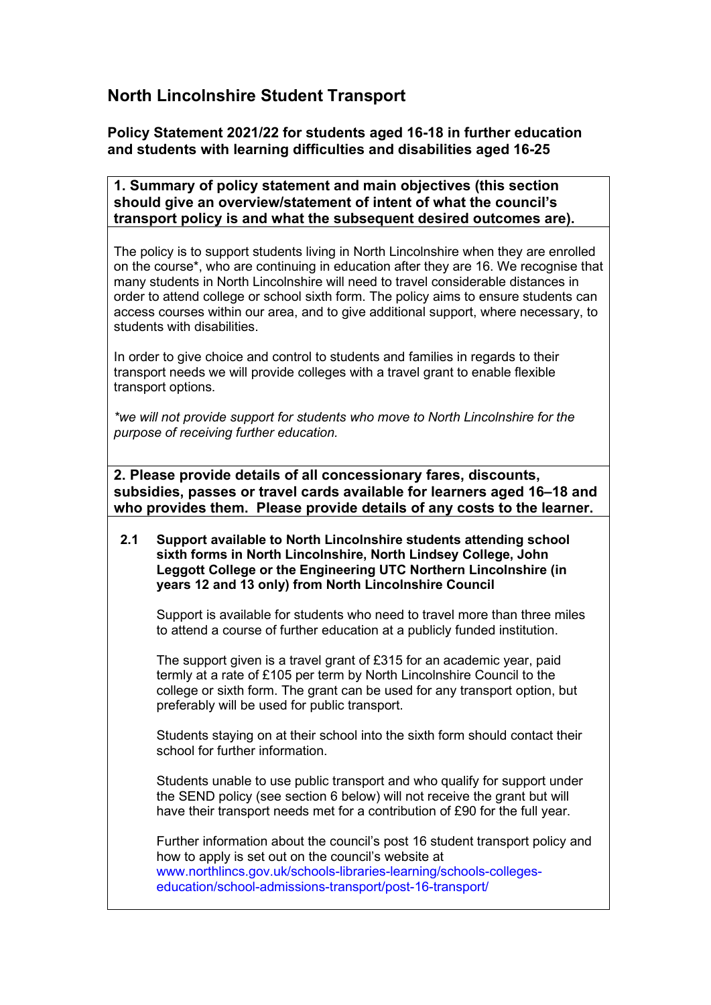# **North Lincolnshire Student Transport**

# **Policy Statement 2021/22 for students aged 16-18 in further education and students with learning difficulties and disabilities aged 16-25**

**1. Summary of policy statement and main objectives (this section should give an overview/statement of intent of what the council's transport policy is and what the subsequent desired outcomes are).**

The policy is to support students living in North Lincolnshire when they are enrolled on the course\*, who are continuing in education after they are 16. We recognise that many students in North Lincolnshire will need to travel considerable distances in order to attend college or school sixth form. The policy aims to ensure students can access courses within our area, and to give additional support, where necessary, to students with disabilities.

In order to give choice and control to students and families in regards to their transport needs we will provide colleges with a travel grant to enable flexible transport options.

*\*we will not provide support for students who move to North Lincolnshire for the purpose of receiving further education.*

**2. Please provide details of all concessionary fares, discounts, subsidies, passes or travel cards available for learners aged 16–18 and who provides them. Please provide details of any costs to the learner.**

**2.1 Support available to North Lincolnshire students attending school sixth forms in North Lincolnshire, North Lindsey College, John Leggott College or the Engineering UTC Northern Lincolnshire (in years 12 and 13 only) from North Lincolnshire Council**

Support is available for students who need to travel more than three miles to attend a course of further education at a publicly funded institution.

The support given is a travel grant of £315 for an academic year, paid termly at a rate of £105 per term by North Lincolnshire Council to the college or sixth form. The grant can be used for any transport option, but preferably will be used for public transport.

Students staying on at their school into the sixth form should contact their school for further information.

Students unable to use public transport and who qualify for support under the SEND policy (see section 6 below) will not receive the grant but will have their transport needs met for a contribution of £90 for the full year.

Further information about the council's post 16 student transport policy and how to apply is set out on the council's website at www.northlincs.gov.uk/schools-libraries-learning/schools-collegeseducation/school-admissions-transport/post-16-transport/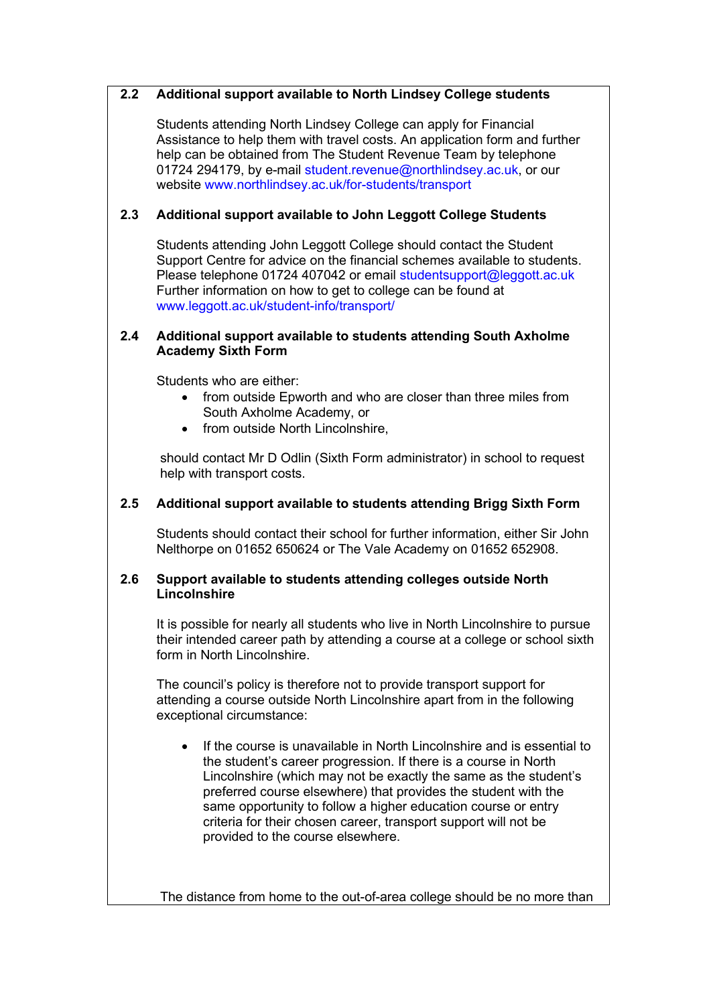#### **2.2 Additional support available to North Lindsey College students**

Students attending North Lindsey College can apply for Financial Assistance to help them with travel costs. An application form and further help can be obtained from The Student Revenue Team by telephone 01724 294179, by e-mail student.revenue@northlindsey.ac.uk, or our website www.northlindsey.ac.uk/for-students/transport

## **2.3 Additional support available to John Leggott College Students**

Students attending John Leggott College should contact the Student Support Centre for advice on the financial schemes available to students. Please telephone 01724 407042 or email studentsupport@leggott.ac.uk Further information on how to get to college can be found at www.leggott.ac.uk/student-info/transport/

#### **2.4 Additional support available to students attending South Axholme Academy Sixth Form**

Students who are either:

- from outside Epworth and who are closer than three miles from South Axholme Academy, or
- from outside North Lincolnshire.

should contact Mr D Odlin (Sixth Form administrator) in school to request help with transport costs.

## **2.5 Additional support available to students attending Brigg Sixth Form**

Students should contact their school for further information, either Sir John Nelthorpe on 01652 650624 or The Vale Academy on 01652 652908.

#### **2.6 Support available to students attending colleges outside North Lincolnshire**

It is possible for nearly all students who live in North Lincolnshire to pursue their intended career path by attending a course at a college or school sixth form in North Lincolnshire.

The council's policy is therefore not to provide transport support for attending a course outside North Lincolnshire apart from in the following exceptional circumstance:

• If the course is unavailable in North Lincolnshire and is essential to the student's career progression. If there is a course in North Lincolnshire (which may not be exactly the same as the student's preferred course elsewhere) that provides the student with the same opportunity to follow a higher education course or entry criteria for their chosen career, transport support will not be provided to the course elsewhere.

The distance from home to the out-of-area college should be no more than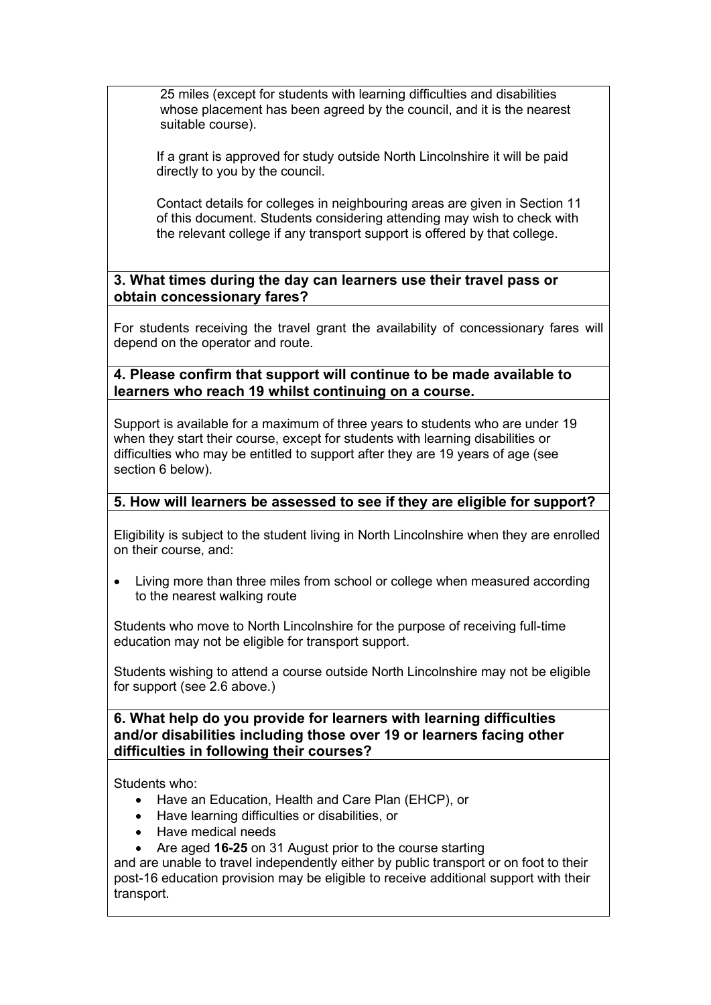25 miles (except for students with learning difficulties and disabilities whose placement has been agreed by the council, and it is the nearest suitable course).

If a grant is approved for study outside North Lincolnshire it will be paid directly to you by the council.

Contact details for colleges in neighbouring areas are given in Section 11 of this document. Students considering attending may wish to check with the relevant college if any transport support is offered by that college.

**3. What times during the day can learners use their travel pass or obtain concessionary fares?**

For students receiving the travel grant the availability of concessionary fares will depend on the operator and route.

**4. Please confirm that support will continue to be made available to learners who reach 19 whilst continuing on a course.**

Support is available for a maximum of three years to students who are under 19 when they start their course, except for students with learning disabilities or difficulties who may be entitled to support after they are 19 years of age (see section 6 below).

## **5. How will learners be assessed to see if they are eligible for support?**

Eligibility is subject to the student living in North Lincolnshire when they are enrolled on their course, and:

• Living more than three miles from school or college when measured according to the nearest walking route

Students who move to North Lincolnshire for the purpose of receiving full-time education may not be eligible for transport support.

Students wishing to attend a course outside North Lincolnshire may not be eligible for support (see 2.6 above.)

**6. What help do you provide for learners with learning difficulties and/or disabilities including those over 19 or learners facing other difficulties in following their courses?**

Students who:

- Have an Education, Health and Care Plan (EHCP), or
- Have learning difficulties or disabilities, or
- Have medical needs
- Are aged **16-25** on 31 August prior to the course starting

and are unable to travel independently either by public transport or on foot to their post-16 education provision may be eligible to receive additional support with their transport.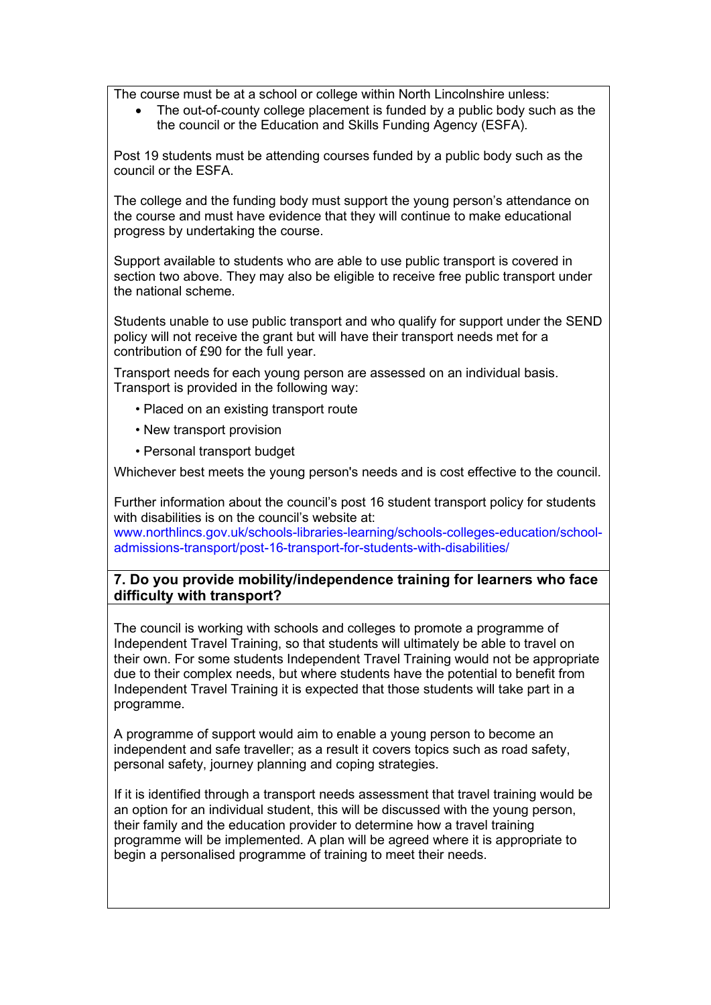The course must be at a school or college within North Lincolnshire unless:

• The out-of-county college placement is funded by a public body such as the the council or the Education and Skills Funding Agency (ESFA).

Post 19 students must be attending courses funded by a public body such as the council or the ESFA.

The college and the funding body must support the young person's attendance on the course and must have evidence that they will continue to make educational progress by undertaking the course.

Support available to students who are able to use public transport is covered in section two above. They may also be eligible to receive free public transport under the national scheme.

Students unable to use public transport and who qualify for support under the SEND policy will not receive the grant but will have their transport needs met for a contribution of £90 for the full year.

Transport needs for each young person are assessed on an individual basis. Transport is provided in the following way:

- Placed on an existing transport route
- New transport provision
- Personal transport budget

Whichever best meets the young person's needs and is cost effective to the council.

Further information about the council's post 16 student transport policy for students with disabilities is on the council's website at:

www.northlincs.gov.uk/schools-libraries-learning/schools-colleges-education/schooladmissions-transport/post-16-transport-for-students-with-disabilities/

## **7. Do you provide mobility/independence training for learners who face difficulty with transport?**

The council is working with schools and colleges to promote a programme of Independent Travel Training, so that students will ultimately be able to travel on their own. For some students Independent Travel Training would not be appropriate due to their complex needs, but where students have the potential to benefit from Independent Travel Training it is expected that those students will take part in a programme.

A programme of support would aim to enable a young person to become an independent and safe traveller; as a result it covers topics such as road safety, personal safety, journey planning and coping strategies.

If it is identified through a transport needs assessment that travel training would be an option for an individual student, this will be discussed with the young person, their family and the education provider to determine how a travel training programme will be implemented. A plan will be agreed where it is appropriate to begin a personalised programme of training to meet their needs.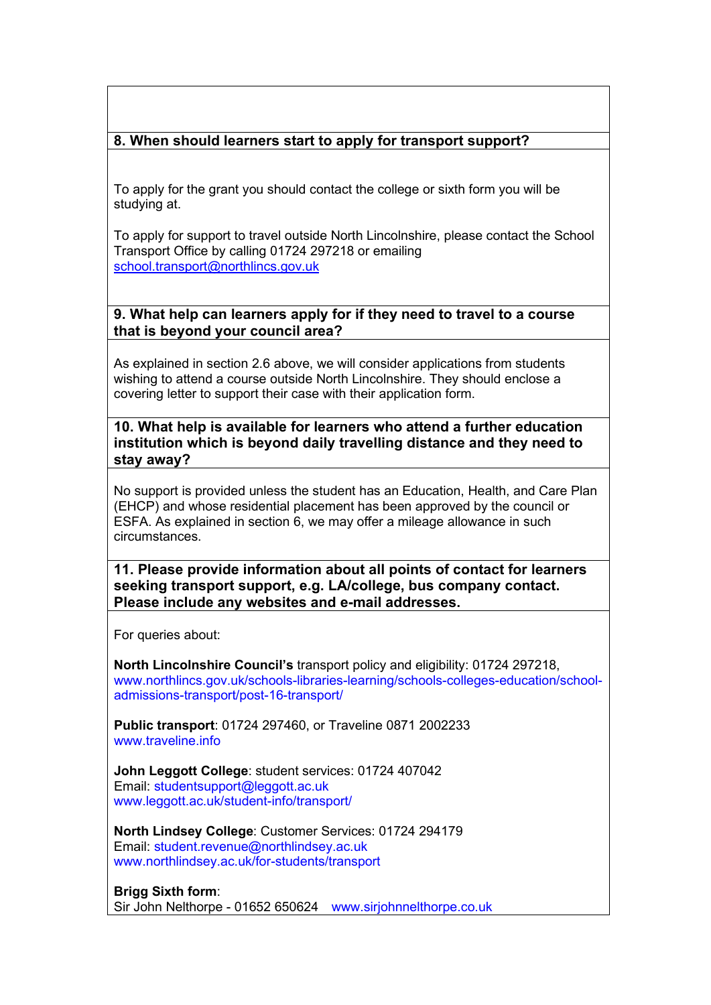# **8. When should learners start to apply for transport support?**

To apply for the grant you should contact the college or sixth form you will be studying at.

To apply for support to travel outside North Lincolnshire, please contact the School Transport Office by calling 01724 297218 or emailing school.transport@northlincs.gov.uk

## **9. What help can learners apply for if they need to travel to a course that is beyond your council area?**

As explained in section 2.6 above, we will consider applications from students wishing to attend a course outside North Lincolnshire. They should enclose a covering letter to support their case with their application form.

**10. What help is available for learners who attend a further education institution which is beyond daily travelling distance and they need to stay away?**

No support is provided unless the student has an Education, Health, and Care Plan (EHCP) and whose residential placement has been approved by the council or ESFA. As explained in section 6, we may offer a mileage allowance in such circumstances.

**11. Please provide information about all points of contact for learners seeking transport support, e.g. LA/college, bus company contact. Please include any websites and e-mail addresses.**

For queries about:

**North Lincolnshire Council's** transport policy and eligibility: 01724 297218, www.northlincs.gov.uk/schools-libraries-learning/schools-colleges-education/schooladmissions-transport/post-16-transport/

**Public transport**: 01724 297460, or Traveline 0871 2002233 www.traveline.info.

**John Leggott College**: student services: 01724 407042 Email: studentsupport@leggott.ac.uk www.leggott.ac.uk/student-info/transport/

**North Lindsey College**: Customer Services: 01724 294179 Email: student.revenue@northlindsey.ac.uk www.northlindsey.ac.uk/for-students/transport

**Brigg Sixth form**: Sir John Nelthorpe - 01652 650624 www.sirjohnnelthorpe.co.uk